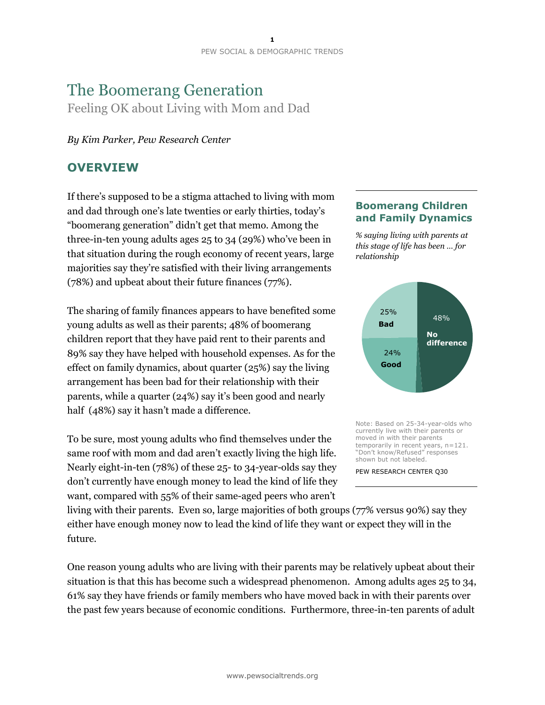# The Boomerang Generation Feeling OK about Living with Mom and Dad

### *By Kim Parker, Pew Research Center*

# **OVERVIEW**

If there's supposed to be a stigma attached to living with mom and dad through one's late twenties or early thirties, today's "boomerang generation" didn't get that memo. Among the three-in-ten young adults ages 25 to 34 (29%) who've been in that situation during the rough economy of recent years, large majorities say they're satisfied with their living arrangements (78%) and upbeat about their future finances (77%).

The sharing of family finances appears to have benefited some young adults as well as their parents; 48% of boomerang children report that they have paid rent to their parents and 89% say they have helped with household expenses. As for the effect on family dynamics, about quarter (25%) say the living arrangement has been bad for their relationship with their parents, while a quarter (24%) say it's been good and nearly half (48%) say it hasn't made a difference.

To be sure, most young adults who find themselves under the same roof with mom and dad aren't exactly living the high life. Nearly eight-in-ten (78%) of these 25- to 34-year-olds say they don't currently have enough money to lead the kind of life they want, compared with 55% of their same-aged peers who aren't

living with their parents. Even so, large majorities of both groups (77% versus 90%) say they either have enough money now to lead the kind of life they want or expect they will in the future.

One reason young adults who are living with their parents may be relatively upbeat about their situation is that this has become such a widespread phenomenon. Among adults ages 25 to 34, 61% say they have friends or family members who have moved back in with their parents over the past few years because of economic conditions. Furthermore, three-in-ten parents of adult

### **Boomerang Children and Family Dynamics**

*% saying living with parents at this stage of life has been … for relationship*



Note: Based on 25-34-year-olds who currently live with their parents or moved in with their parents temporarily in recent years, n=121. "Don't know/Refused" responses shown but not labeled.

PEW RESEARCH CENTER Q30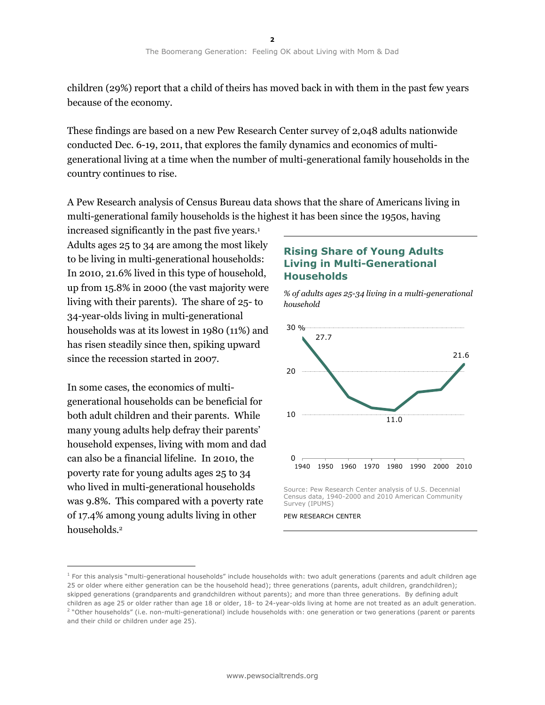children (29%) report that a child of theirs has moved back in with them in the past few years because of the economy.

These findings are based on a new Pew Research Center survey of 2,048 adults nationwide conducted Dec. 6-19, 2011, that explores the family dynamics and economics of multigenerational living at a time when the number of multi-generational family households in the country continues to rise.

A Pew Research analysis of Census Bureau data shows that the share of Americans living in multi-generational family households is the highest it has been since the 1950s, having

increased significantly in the past five years.<sup>1</sup> Adults ages 25 to 34 are among the most likely to be living in multi-generational households: In 2010, 21.6% lived in this type of household, up from 15.8% in 2000 (the vast majority were living with their parents). The share of 25- to 34-year-olds living in multi-generational households was at its lowest in 1980 (11%) and has risen steadily since then, spiking upward since the recession started in 2007.

In some cases, the economics of multigenerational households can be beneficial for both adult children and their parents. While many young adults help defray their parents' household expenses, living with mom and dad can also be a financial lifeline. In 2010, the poverty rate for young adults ages 25 to 34 who lived in multi-generational households was 9.8%. This compared with a poverty rate of 17.4% among young adults living in other households.<sup>2</sup>

 $\overline{a}$ 

### **Rising Share of Young Adults Living in Multi-Generational Households**





Source: Pew Research Center analysis of U.S. Decennial Census data, 1940-2000 and 2010 American Community Survey (IPUMS)

PEW RESEARCH CENTER

 $<sup>1</sup>$  For this analysis "multi-generational households" include households with: two adult generations (parents and adult children age</sup> 25 or older where either generation can be the household head); three generations (parents, adult children, grandchildren); skipped generations (grandparents and grandchildren without parents); and more than three generations. By defining adult children as age 25 or older rather than age 18 or older, 18- to 24-year-olds living at home are not treated as an adult generation. <sup>2</sup> "Other households" (i.e. non-multi-generational) include households with: one generation or two generations (parent or parents and their child or children under age 25).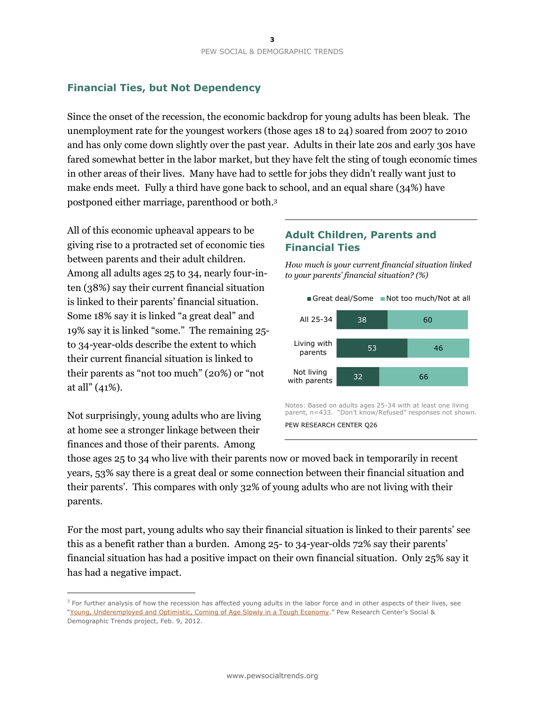# **Financial Ties, but Not Dependency**

Since the onset of the recession, the economic backdrop for young adults has been bleak. The unemployment rate for the youngest workers (those ages 18 to 24) soared from 2007 to 2010 and has only come down slightly over the past year. Adults in their late 20s and early 30s have fared somewhat better in the labor market, but they have felt the sting of tough economic times in other areas of their lives. Many have had to settle for jobs they didn't really want just to make ends meet. Fully a third have gone back to school, and an equal share (34%) have postponed either marriage, parenthood or both. 3

All of this economic upheaval appears to be giving rise to a protracted set of economic ties between parents and their adult children. Among all adults ages 25 to 34, nearly four-inten (38%) say their current financial situation is linked to their parents' financial situation. Some 18% say it is linked "a great deal" and 19% say it is linked "some." The remaining 25 to 34-year-olds describe the extent to which their current financial situation is linked to their parents as "not too much" (20%) or "not at all" (41%).

Not surprisingly, young adults who are living at home see a stronger linkage between their finances and those of their parents. Among

 $\overline{a}$ 

### **Adult Children, Parents and Financial Ties**

*How much is your current financial situation linked to your parents' financial situation? (%)*



Notes: Based on adults ages 25-34 with at least one living parent, n=433. "Don't know/Refused" responses not shown. PEW RESEARCH CENTER Q26

those ages 25 to 34 who live with their parents now or moved back in temporarily in recent years, 53% say there is a great deal or some connection between their financial situation and their parents'. This compares with only 32% of young adults who are not living with their parents.

For the most part, young adults who say their financial situation is linked to their parents' see this as a benefit rather than a burden. Among 25- to 34-year-olds 72% say their parents' financial situation has had a positive impact on their own financial situation. Only 25% say it has had a negative impact.

<sup>&</sup>lt;sup>3</sup> For further analysis of how the recession has affected young adults in the labor force and in other aspects of their lives, see "[Young, Underemployed and Optimistic, Coming of Age Slowly in a Tough Economy](http://www.pewsocialtrends.org/2012/02/09/young-underemployed-and-optimistic/)." Pew Research Center's Social & Demographic Trends project, Feb. 9, 2012.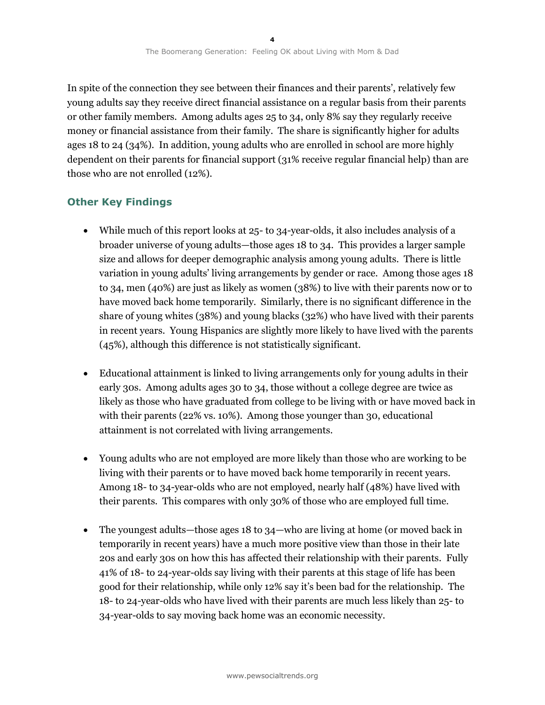In spite of the connection they see between their finances and their parents', relatively few young adults say they receive direct financial assistance on a regular basis from their parents or other family members. Among adults ages 25 to 34, only 8% say they regularly receive money or financial assistance from their family. The share is significantly higher for adults ages 18 to 24 (34%). In addition, young adults who are enrolled in school are more highly dependent on their parents for financial support (31% receive regular financial help) than are those who are not enrolled (12%).

# **Other Key Findings**

- While much of this report looks at 25- to 34-year-olds, it also includes analysis of a broader universe of young adults—those ages 18 to 34. This provides a larger sample size and allows for deeper demographic analysis among young adults. There is little variation in young adults' living arrangements by gender or race. Among those ages 18 to 34, men (40%) are just as likely as women (38%) to live with their parents now or to have moved back home temporarily. Similarly, there is no significant difference in the share of young whites (38%) and young blacks (32%) who have lived with their parents in recent years. Young Hispanics are slightly more likely to have lived with the parents (45%), although this difference is not statistically significant.
- Educational attainment is linked to living arrangements only for young adults in their early 30s. Among adults ages 30 to 34, those without a college degree are twice as likely as those who have graduated from college to be living with or have moved back in with their parents (22% vs. 10%). Among those younger than 30, educational attainment is not correlated with living arrangements.
- Young adults who are not employed are more likely than those who are working to be living with their parents or to have moved back home temporarily in recent years. Among 18- to 34-year-olds who are not employed, nearly half (48%) have lived with their parents. This compares with only 30% of those who are employed full time.
- The youngest adults—those ages 18 to 34—who are living at home (or moved back in temporarily in recent years) have a much more positive view than those in their late 20s and early 30s on how this has affected their relationship with their parents. Fully 41% of 18- to 24-year-olds say living with their parents at this stage of life has been good for their relationship, while only 12% say it's been bad for the relationship. The 18- to 24-year-olds who have lived with their parents are much less likely than 25- to 34-year-olds to say moving back home was an economic necessity.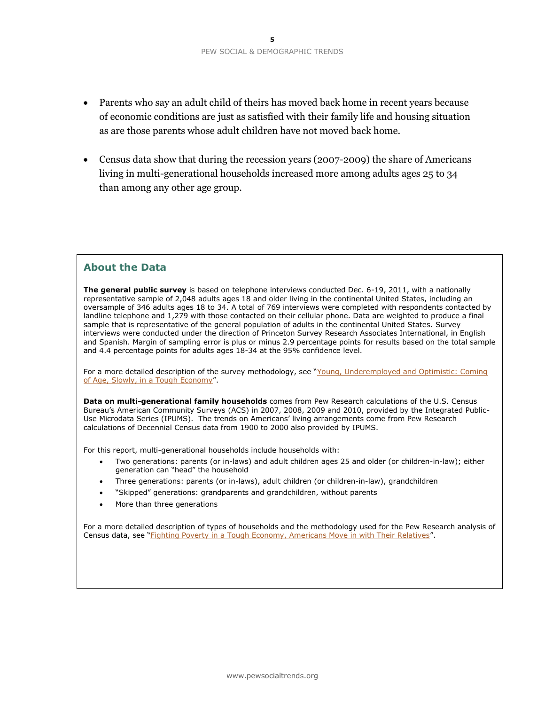- Parents who say an adult child of theirs has moved back home in recent years because of economic conditions are just as satisfied with their family life and housing situation as are those parents whose adult children have not moved back home.
- Census data show that during the recession years (2007-2009) the share of Americans living in multi-generational households increased more among adults ages 25 to 34 than among any other age group.

### **About the Data**

**The general public survey** is based on telephone interviews conducted Dec. 6-19, 2011, with a nationally representative sample of 2,048 adults ages 18 and older living in the continental United States, including an oversample of 346 adults ages 18 to 34. A total of 769 interviews were completed with respondents contacted by landline telephone and 1,279 with those contacted on their cellular phone. Data are weighted to produce a final sample that is representative of the general population of adults in the continental United States. Survey interviews were conducted under the direction of Princeton Survey Research Associates International, in English and Spanish. Margin of sampling error is plus or minus 2.9 percentage points for results based on the total sample and 4.4 percentage points for adults ages 18-34 at the 95% confidence level.

For a more detailed description of the survey methodology, see "Young, Underemployed and Optimistic: Coming [of Age, Slowly, in a Tough Economy](http://www.pewsocialtrends.org/2012/02/09/young-underemployed-and-optimistic/)".

**Data on multi-generational family households** comes from Pew Research calculations of the U.S. Census Bureau's American Community Surveys (ACS) in 2007, 2008, 2009 and 2010, provided by the Integrated Public-Use Microdata Series (IPUMS). The trends on Americans' living arrangements come from Pew Research calculations of Decennial Census data from 1900 to 2000 also provided by IPUMS.

For this report, multi-generational households include households with:

- Two generations: parents (or in-laws) and adult children ages 25 and older (or children-in-law); either generation can "head" the household
- Three generations: parents (or in-laws), adult children (or children-in-law), grandchildren
- "Skipped" generations: grandparents and grandchildren, without parents
- More than three generations

For a more detailed description of types of households and the methodology used for the Pew Research analysis of Census data, see "[Fighting Poverty in a Tough Economy, Americans Move in with Their Relatives](http://www.pewsocialtrends.org/2011/10/03/fighting-poverty-in-a-bad-economy-americans-move-in-with-relatives/)".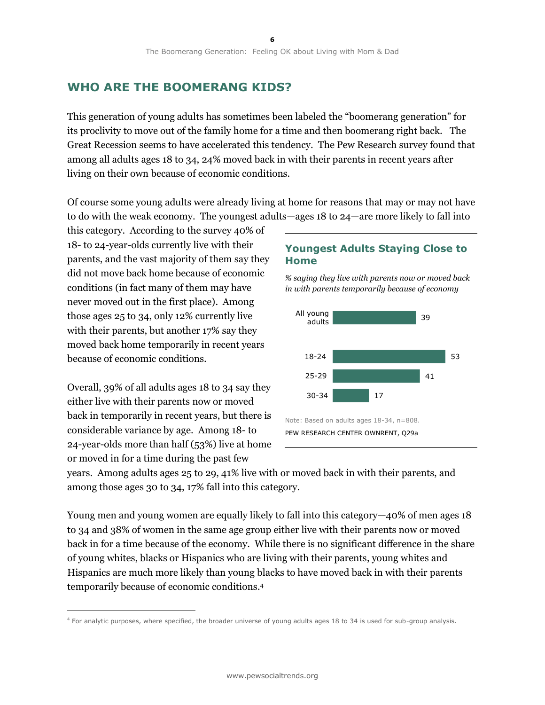# **WHO ARE THE BOOMERANG KIDS?**

This generation of young adults has sometimes been labeled the "boomerang generation" for its proclivity to move out of the family home for a time and then boomerang right back. The Great Recession seems to have accelerated this tendency. The Pew Research survey found that among all adults ages 18 to 34, 24% moved back in with their parents in recent years after living on their own because of economic conditions.

Of course some young adults were already living at home for reasons that may or may not have to do with the weak economy. The youngest adults—ages 18 to 24—are more likely to fall into

this category. According to the survey 40% of 18- to 24-year-olds currently live with their parents, and the vast majority of them say they did not move back home because of economic conditions (in fact many of them may have never moved out in the first place). Among those ages 25 to 34, only 12% currently live with their parents, but another 17% say they moved back home temporarily in recent years because of economic conditions.

Overall, 39% of all adults ages 18 to 34 say they either live with their parents now or moved back in temporarily in recent years, but there is considerable variance by age. Among 18- to 24-year-olds more than half (53%) live at home or moved in for a time during the past few

 $\overline{a}$ 

### **Youngest Adults Staying Close to Home**



*% saying they live with parents now or moved back in with parents temporarily because of economy*

years. Among adults ages 25 to 29, 41% live with or moved back in with their parents, and among those ages 30 to 34, 17% fall into this category.

Young men and young women are equally likely to fall into this category—40% of men ages 18 to 34 and 38% of women in the same age group either live with their parents now or moved back in for a time because of the economy. While there is no significant difference in the share of young whites, blacks or Hispanics who are living with their parents, young whites and Hispanics are much more likely than young blacks to have moved back in with their parents temporarily because of economic conditions. 4

<sup>4</sup> For analytic purposes, where specified, the broader universe of young adults ages 18 to 34 is used for sub-group analysis.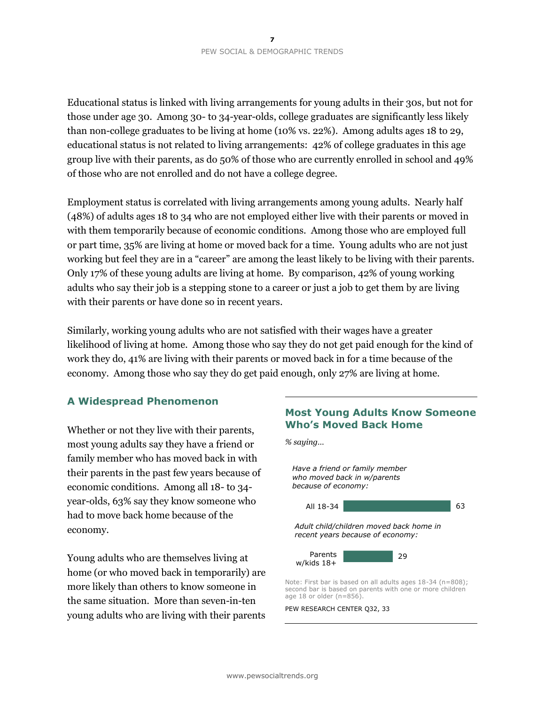Educational status is linked with living arrangements for young adults in their 30s, but not for those under age 30. Among 30- to 34-year-olds, college graduates are significantly less likely than non-college graduates to be living at home (10% vs. 22%). Among adults ages 18 to 29, educational status is not related to living arrangements: 42% of college graduates in this age group live with their parents, as do 50% of those who are currently enrolled in school and 49% of those who are not enrolled and do not have a college degree.

Employment status is correlated with living arrangements among young adults. Nearly half (48%) of adults ages 18 to 34 who are not employed either live with their parents or moved in with them temporarily because of economic conditions. Among those who are employed full or part time, 35% are living at home or moved back for a time. Young adults who are not just working but feel they are in a "career" are among the least likely to be living with their parents. Only 17% of these young adults are living at home. By comparison, 42% of young working adults who say their job is a stepping stone to a career or just a job to get them by are living with their parents or have done so in recent years.

Similarly, working young adults who are not satisfied with their wages have a greater likelihood of living at home. Among those who say they do not get paid enough for the kind of work they do, 41% are living with their parents or moved back in for a time because of the economy. Among those who say they do get paid enough, only 27% are living at home.

### **A Widespread Phenomenon**

Whether or not they live with their parents, most young adults say they have a friend or family member who has moved back in with their parents in the past few years because of economic conditions. Among all 18- to 34 year-olds, 63% say they know someone who had to move back home because of the economy.

Young adults who are themselves living at home (or who moved back in temporarily) are more likely than others to know someone in the same situation. More than seven-in-ten young adults who are living with their parents

# **Most Young Adults Know Someone Who's Moved Back Home**

*% saying…*



PEW RESEARCH CENTER Q32, 33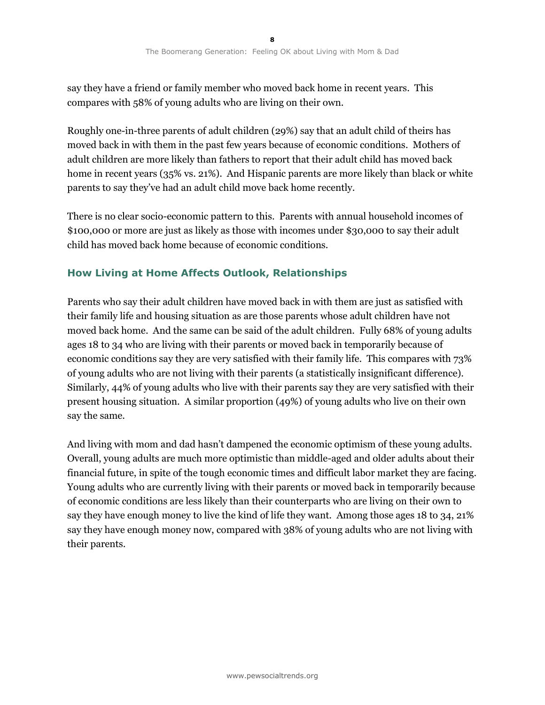say they have a friend or family member who moved back home in recent years. This compares with 58% of young adults who are living on their own.

Roughly one-in-three parents of adult children (29%) say that an adult child of theirs has moved back in with them in the past few years because of economic conditions. Mothers of adult children are more likely than fathers to report that their adult child has moved back home in recent years (35% vs. 21%). And Hispanic parents are more likely than black or white parents to say they've had an adult child move back home recently.

There is no clear socio-economic pattern to this. Parents with annual household incomes of \$100,000 or more are just as likely as those with incomes under \$30,000 to say their adult child has moved back home because of economic conditions.

# **How Living at Home Affects Outlook, Relationships**

Parents who say their adult children have moved back in with them are just as satisfied with their family life and housing situation as are those parents whose adult children have not moved back home. And the same can be said of the adult children. Fully 68% of young adults ages 18 to 34 who are living with their parents or moved back in temporarily because of economic conditions say they are very satisfied with their family life. This compares with 73% of young adults who are not living with their parents (a statistically insignificant difference). Similarly, 44% of young adults who live with their parents say they are very satisfied with their present housing situation. A similar proportion (49%) of young adults who live on their own say the same.

And living with mom and dad hasn't dampened the economic optimism of these young adults. Overall, young adults are much more optimistic than middle-aged and older adults about their financial future, in spite of the tough economic times and difficult labor market they are facing. Young adults who are currently living with their parents or moved back in temporarily because of economic conditions are less likely than their counterparts who are living on their own to say they have enough money to live the kind of life they want. Among those ages 18 to 34, 21% say they have enough money now, compared with 38% of young adults who are not living with their parents.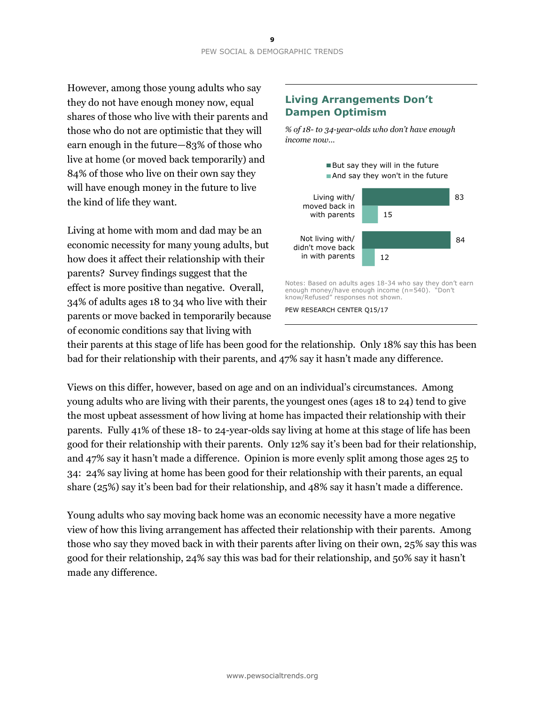However, among those young adults who say they do not have enough money now, equal shares of those who live with their parents and those who do not are optimistic that they will earn enough in the future—83% of those who live at home (or moved back temporarily) and 84% of those who live on their own say they will have enough money in the future to live the kind of life they want.

Living at home with mom and dad may be an economic necessity for many young adults, but how does it affect their relationship with their parents? Survey findings suggest that the effect is more positive than negative. Overall, 34% of adults ages 18 to 34 who live with their parents or move backed in temporarily because of economic conditions say that living with

### **Living Arrangements Don't Dampen Optimism**

*% of 18- to 34-year-olds who don't have enough income now…*



their parents at this stage of life has been good for the relationship. Only 18% say this has been bad for their relationship with their parents, and 47% say it hasn't made any difference.

Views on this differ, however, based on age and on an individual's circumstances. Among young adults who are living with their parents, the youngest ones (ages 18 to 24) tend to give the most upbeat assessment of how living at home has impacted their relationship with their parents. Fully 41% of these 18- to 24-year-olds say living at home at this stage of life has been good for their relationship with their parents. Only 12% say it's been bad for their relationship, and 47% say it hasn't made a difference. Opinion is more evenly split among those ages 25 to 34: 24% say living at home has been good for their relationship with their parents, an equal share (25%) say it's been bad for their relationship, and 48% say it hasn't made a difference.

Young adults who say moving back home was an economic necessity have a more negative view of how this living arrangement has affected their relationship with their parents. Among those who say they moved back in with their parents after living on their own, 25% say this was good for their relationship, 24% say this was bad for their relationship, and 50% say it hasn't made any difference.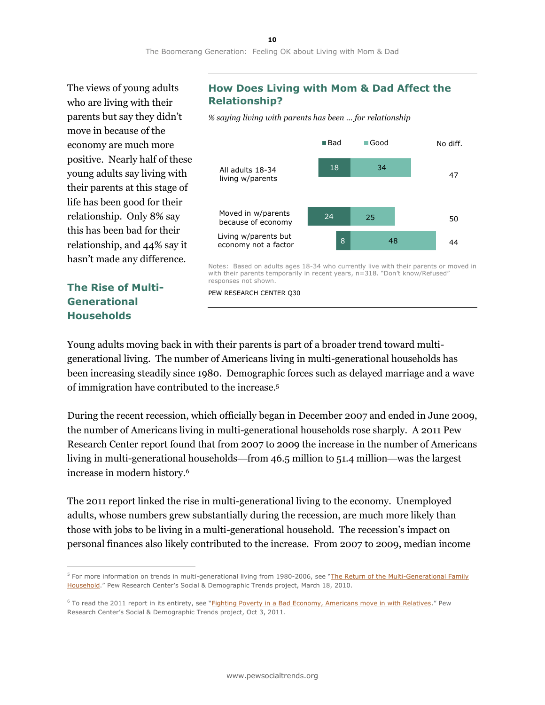The views of young adults who are living with their parents but say they didn't move in because of the economy are much more positive. Nearly half of these young adults say living with their parents at this stage of life has been good for their relationship. Only 8% say this has been bad for their relationship, and 44% say it hasn't made any difference.

**The Rise of Multi-Generational Households**

 $\overline{a}$ 

### **How Does Living with Mom & Dad Affect the Relationship?**

*% saying living with parents has been … for relationship*



Notes: Based on adults ages 18-34 who currently live with their parents or moved in with their parents temporarily in recent years, n=318. "Don't know/Refused" responses not shown.

PEW RESEARCH CENTER Q30

Young adults moving back in with their parents is part of a broader trend toward multigenerational living. The number of Americans living in multi-generational households has been increasing steadily since 1980. Demographic forces such as delayed marriage and a wave of immigration have contributed to the increase.<sup>5</sup>

During the recent recession, which officially began in December 2007 and ended in June 2009, the number of Americans living in multi-generational households rose sharply. A 2011 Pew Research Center report found that from 2007 to 2009 the increase in the number of Americans living in multi-generational households—from 46.5 million to 51.4 million—was the largest increase in modern history.<sup>6</sup>

The 2011 report linked the rise in multi-generational living to the economy. Unemployed adults, whose numbers grew substantially during the recession, are much more likely than those with jobs to be living in a multi-generational household. The recession's impact on personal finances also likely contributed to the increase. From 2007 to 2009, median income

<sup>&</sup>lt;sup>5</sup> For more information on trends in multi-generational living from 1980-2006, see "The Return of the Multi-Generational Family [Household](http://www.pewsocialtrends.org/2010/03/18/the-return-of-the-multi-generational-family-household/)." Pew Research Center's Social & Demographic Trends project, March 18, 2010.

<sup>&</sup>lt;sup>6</sup> To read the 2011 report in its entirety, see "[Fighting Poverty in a Bad Economy, Americans move in with Relatives](http://www.pewsocialtrends.org/2011/10/03/fighting-poverty-in-a-bad-economy-americans-move-in-with-relatives/)." Pew Research Center's Social & Demographic Trends project, Oct 3, 2011.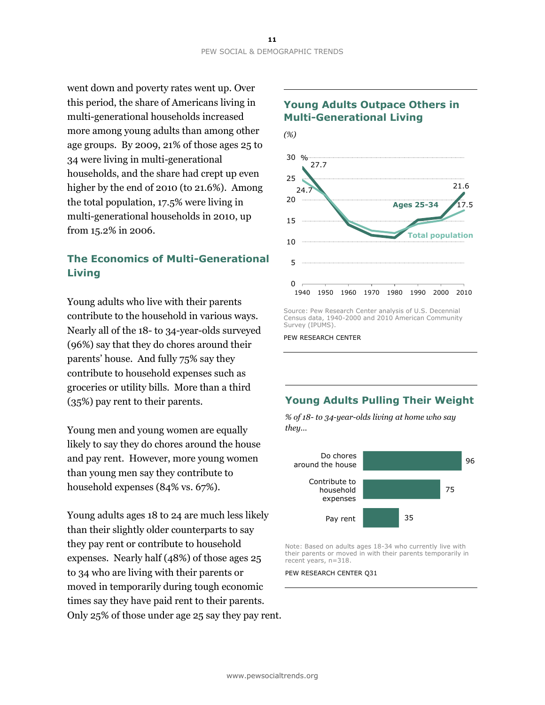went down and poverty rates went up. Over this period, the share of Americans living in multi-generational households increased more among young adults than among other age groups. By 2009, 21% of those ages 25 to 34 were living in multi-generational households, and the share had crept up even higher by the end of 2010 (to 21.6%). Among the total population, 17.5% were living in multi-generational households in 2010, up from 15.2% in 2006.

# **The Economics of Multi-Generational Living**

Young adults who live with their parents contribute to the household in various ways. Nearly all of the 18- to 34-year-olds surveyed (96%) say that they do chores around their parents' house. And fully 75% say they contribute to household expenses such as groceries or utility bills. More than a third (35%) pay rent to their parents.

Young men and young women are equally likely to say they do chores around the house and pay rent. However, more young women than young men say they contribute to household expenses (84% vs. 67%).

Young adults ages 18 to 24 are much less likely than their slightly older counterparts to say they pay rent or contribute to household expenses. Nearly half (48%) of those ages 25 to 34 who are living with their parents or moved in temporarily during tough economic times say they have paid rent to their parents. Only 25% of those under age 25 say they pay rent.



### **Young Adults Outpace Others in Multi-Generational Living**

Source: Pew Research Center analysis of U.S. Decennial Census data, 1940-2000 and 2010 American Community Survey (IPUMS).

PEW RESEARCH CENTER

# **Young Adults Pulling Their Weight**

*% of 18- to 34-year-olds living at home who say they…*



Note: Based on adults ages 18-34 who currently live with their parents or moved in with their parents temporarily in recent years, n=318.

PEW RESEARCH CENTER Q31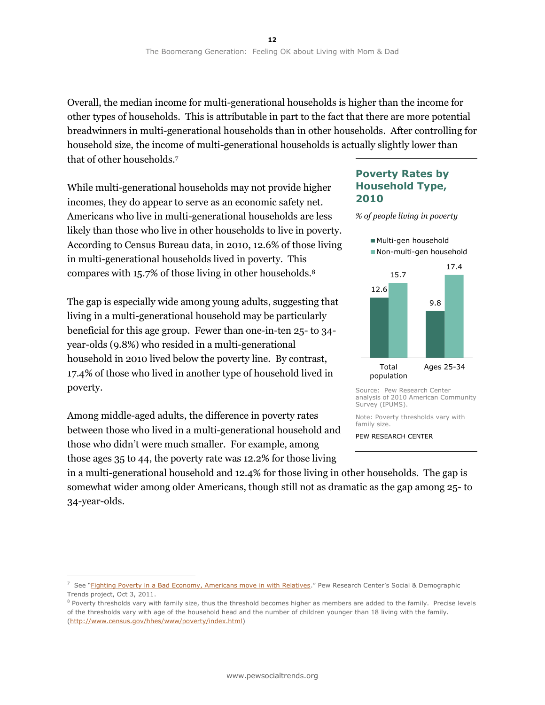Overall, the median income for multi-generational households is higher than the income for other types of households. This is attributable in part to the fact that there are more potential breadwinners in multi-generational households than in other households. After controlling for household size, the income of multi-generational households is actually slightly lower than that of other households.<sup>7</sup>

While multi-generational households may not provide higher incomes, they do appear to serve as an economic safety net. Americans who live in multi-generational households are less likely than those who live in other households to live in poverty. According to Census Bureau data, in 2010, 12.6% of those living in multi-generational households lived in poverty. This compares with 15.7% of those living in other households.<sup>8</sup>

The gap is especially wide among young adults, suggesting that living in a multi-generational household may be particularly beneficial for this age group. Fewer than one-in-ten 25- to 34 year-olds (9.8%) who resided in a multi-generational household in 2010 lived below the poverty line. By contrast, 17.4% of those who lived in another type of household lived in poverty.

Among middle-aged adults, the difference in poverty rates between those who lived in a multi-generational household and those who didn't were much smaller. For example, among those ages 35 to 44, the poverty rate was 12.2% for those living

 $\overline{a}$ 

### **Poverty Rates by Household Type, 2010**

*% of people living in poverty*



Source: Pew Research Center analysis of 2010 American Community Survey (IPUMS).

Note: Poverty thresholds vary with family size.

PEW RESEARCH CENTER

in a multi-generational household and 12.4% for those living in other households. The gap is somewhat wider among older Americans, though still not as dramatic as the gap among 25- to 34-year-olds.

<sup>&</sup>lt;sup>7</sup> See "[Fighting Poverty in a Bad Economy, Americans move in with Relatives](http://www.pewsocialtrends.org/2011/10/03/fighting-poverty-in-a-bad-economy-americans-move-in-with-relatives/)." Pew Research Center's Social & Demographic Trends project, Oct 3, 2011.

<sup>&</sup>lt;sup>8</sup> Poverty thresholds vary with family size, thus the threshold becomes higher as members are added to the family. Precise levels of the thresholds vary with age of the household head and the number of children younger than 18 living with the family. [\(http://www.census.gov/hhes/www/poverty/index.html\)](http://www.census.gov/hhes/www/poverty/index.html)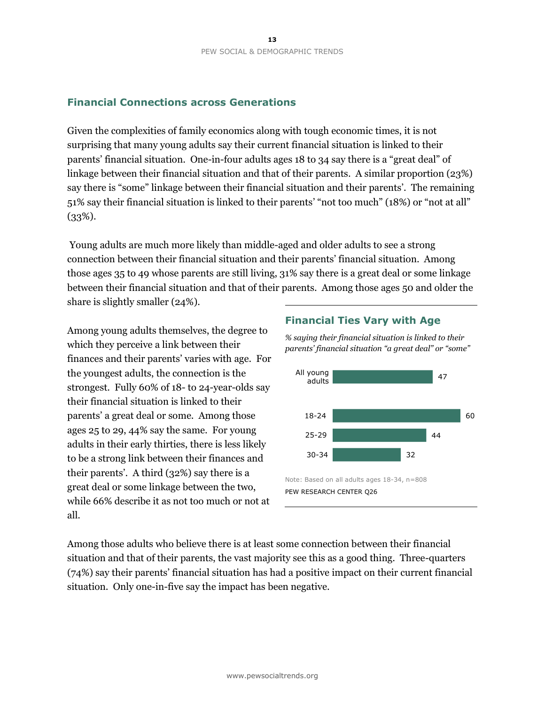### **Financial Connections across Generations**

Given the complexities of family economics along with tough economic times, it is not surprising that many young adults say their current financial situation is linked to their parents' financial situation. One-in-four adults ages 18 to 34 say there is a "great deal" of linkage between their financial situation and that of their parents. A similar proportion (23%) say there is "some" linkage between their financial situation and their parents'. The remaining 51% say their financial situation is linked to their parents' "not too much" (18%) or "not at all"  $(33\%).$ 

Young adults are much more likely than middle-aged and older adults to see a strong connection between their financial situation and their parents' financial situation. Among those ages 35 to 49 whose parents are still living, 31% say there is a great deal or some linkage between their financial situation and that of their parents. Among those ages 50 and older the share is slightly smaller (24%).

Among young adults themselves, the degree to which they perceive a link between their finances and their parents' varies with age. For the youngest adults, the connection is the strongest. Fully 60% of 18- to 24-year-olds say their financial situation is linked to their parents' a great deal or some. Among those ages 25 to 29, 44% say the same. For young adults in their early thirties, there is less likely to be a strong link between their finances and their parents'. A third (32%) say there is a great deal or some linkage between the two, while 66% describe it as not too much or not at all.

### **Financial Ties Vary with Age**

*% saying their financial situation is linked to their parents' financial situation "a great deal" or "some"*



Among those adults who believe there is at least some connection between their financial situation and that of their parents, the vast majority see this as a good thing. Three-quarters (74%) say their parents' financial situation has had a positive impact on their current financial situation. Only one-in-five say the impact has been negative.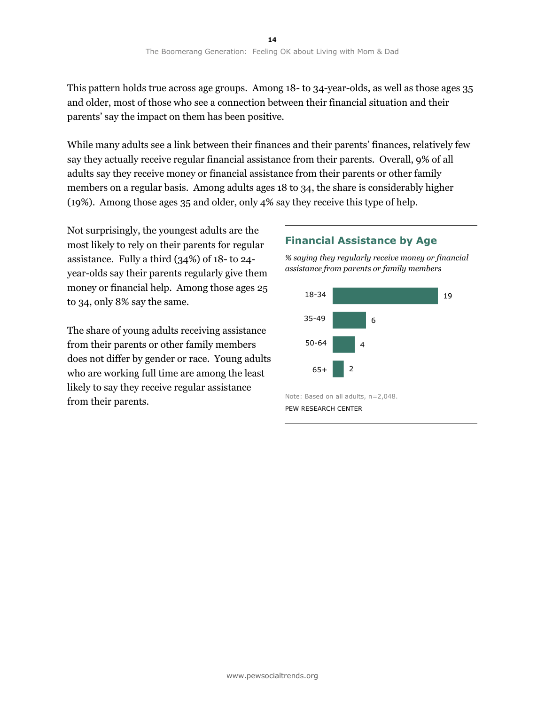This pattern holds true across age groups. Among 18- to 34-year-olds, as well as those ages 35 and older, most of those who see a connection between their financial situation and their parents' say the impact on them has been positive.

While many adults see a link between their finances and their parents' finances, relatively few say they actually receive regular financial assistance from their parents. Overall, 9% of all adults say they receive money or financial assistance from their parents or other family members on a regular basis. Among adults ages 18 to 34, the share is considerably higher (19%). Among those ages 35 and older, only 4% say they receive this type of help.

Not surprisingly, the youngest adults are the most likely to rely on their parents for regular assistance. Fully a third (34%) of 18- to 24 year-olds say their parents regularly give them money or financial help. Among those ages 25 to 34, only 8% say the same.

The share of young adults receiving assistance from their parents or other family members does not differ by gender or race. Young adults who are working full time are among the least likely to say they receive regular assistance from their parents.

### **Financial Assistance by Age**

*% saying they regularly receive money or financial assistance from parents or family members*



PEW RESEARCH CENTER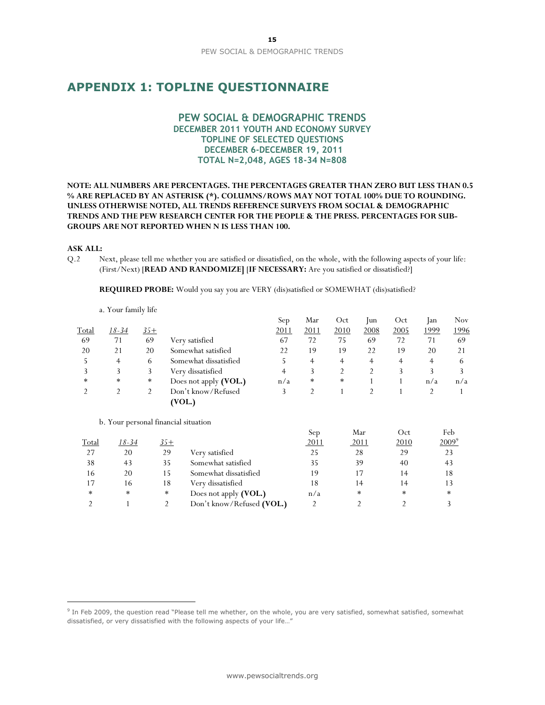# **APPENDIX 1: TOPLINE QUESTIONNAIRE**

### **PEW SOCIAL & DEMOGRAPHIC TRENDS DECEMBER 2011 YOUTH AND ECONOMY SURVEY TOPLINE OF SELECTED QUESTIONS DECEMBER 6-DECEMBER 19, 2011 TOTAL N=2,048, AGES 18-34 N=808**

#### **NOTE: ALL NUMBERS ARE PERCENTAGES. THE PERCENTAGES GREATER THAN ZERO BUT LESS THAN 0.5 % ARE REPLACED BY AN ASTERISK (\*). COLUMNS/ROWS MAY NOT TOTAL 100% DUE TO ROUNDING. UNLESS OTHERWISE NOTED, ALL TRENDS REFERENCE SURVEYS FROM SOCIAL & DEMOGRAPHIC TRENDS AND THE PEW RESEARCH CENTER FOR THE PEOPLE & THE PRESS. PERCENTAGES FOR SUB-GROUPS ARE NOT REPORTED WHEN N IS LESS THAN 100.**

#### **ASK ALL:**

 $\overline{a}$ 

Q.2 Next, please tell me whether you are satisfied or dissatisfied, on the whole, with the following aspects of your life: (First/Next) [**READ AND RANDOMIZE]** [**IF NECESSARY:** Are you satisfied or dissatisfied?]

**REQUIRED PROBE:** Would you say you are VERY (dis)satisfied or SOMEWHAT (dis)satisfied?

|        |        |        |                       | Sep  | Mar    | Oct            | lun  | Oct  | lan  | <b>Nov</b> |
|--------|--------|--------|-----------------------|------|--------|----------------|------|------|------|------------|
| Total  | 18-34  | $35+$  |                       | 2011 | 2011   | 2010           | 2008 | 2005 | 1999 | 1996       |
| -69    | 71     | 69     | Very satisfied        | 67   | 72     | 75             | 69   | 72   | 71   | 69         |
| 20     | 21     | 20     | Somewhat satisfied    | 22   | 19     | 19             | 22   | 19   | 20   | 21         |
|        | 4      | 6      | Somewhat dissatisfied |      | 4      | 4              | 4    | 4    | 4    | 6          |
|        |        |        | Very dissatisfied     | 4    |        | $\overline{2}$ |      |      |      |            |
| $\ast$ | $\ast$ | $\ast$ | Does not apply (VOL.) | n/a  | $\ast$ | $\ast$         |      |      | n/a  | n/a        |
|        |        |        | Don't know/Refused    |      |        |                |      |      |      |            |
|        |        |        | (VOL.)                |      |        |                |      |      |      |            |

b. Your personal financial situation

a. Your family life

|        |        |            |                           | vep. | iviai | vu     | 1 UU       |
|--------|--------|------------|---------------------------|------|-------|--------|------------|
| Total  | 18-34  | <u>35+</u> |                           | 2011 | 2011  | 2010   | $2009^{9}$ |
| 27     | 20     | 29         | Very satisfied            | 25   | 28    | 29     | 23         |
| 38     | 43     | 35         | Somewhat satisfied        | 35   | 39    | 40     | 43         |
| 16     | 20     | 15         | Somewhat dissatisfied     | 19   |       | 14     | 18         |
| 17     | 16     | 18         | Very dissatisfied         | 18   |       | 14     | 13         |
| $\ast$ | $\ast$ | $\ast$     | Does not apply (VOL.)     | n/a  | *     | $\ast$ | *          |
|        |        |            | Don't know/Refused (VOL.) |      |       |        |            |
|        |        |            |                           |      |       |        |            |

Sep

Mar

 $Oct$ 

 $E_{\alpha}$ 

<sup>&</sup>lt;sup>9</sup> In Feb 2009, the question read "Please tell me whether, on the whole, you are very satisfied, somewhat satisfied, somewhat dissatisfied, or very dissatisfied with the following aspects of your life…"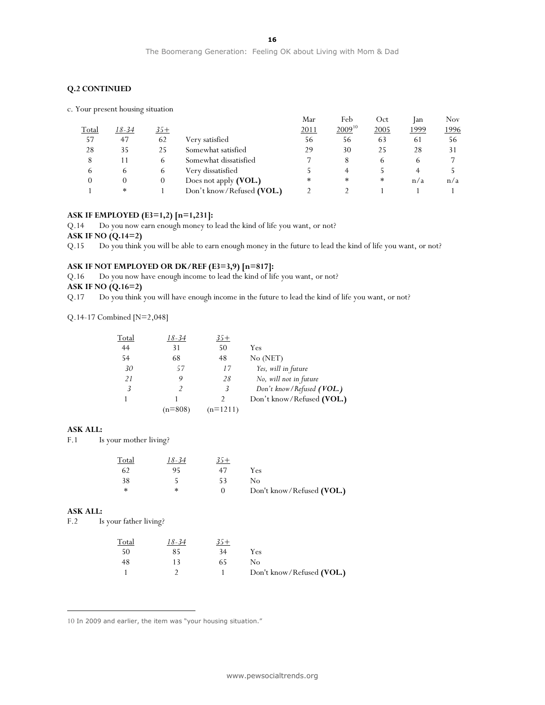#### **Q.2 CONTINUED**

|  |  |  | c. Your present housing situation |
|--|--|--|-----------------------------------|
|--|--|--|-----------------------------------|

|       |        |          |                           | Mar    | Feb         | Oct    | lan          | <b>Nov</b> |
|-------|--------|----------|---------------------------|--------|-------------|--------|--------------|------------|
| Total | 18-34  | $35+$    |                           | 2011   | $2009^{10}$ | 2005   | <u> 1999</u> | 1996       |
| 57    | 47     | 62       | Verv satisfied            | 56     | 56          | 63     | 61           | 56         |
| 28    | 35     | 25       | Somewhat satisfied        | 29     | 30          | 25     | 28           | 31         |
|       | 11     | 6        | Somewhat dissatisfied     | 7      | 8           | 6      | b            |            |
| 6     | 6      | 6        | Very dissatisfied         |        |             |        |              |            |
|       | 0      | $\theta$ | Does not apply (VOL.)     | $\ast$ | $\ast$      | $\ast$ | n/a          | n/a        |
|       | $\ast$ |          | Don't know/Refused (VOL.) |        |             |        |              |            |

#### **ASK IF EMPLOYED (E3=1,2) [n=1,231]:**

Q.14 Do you now earn enough money to lead the kind of life you want, or not?

**ASK IF NO (Q.14=2)**

Q.15 Do you think you will be able to earn enough money in the future to lead the kind of life you want, or not?

#### **ASK IF NOT EMPLOYED OR DK/REF (E3=3,9) [n=817]:**

Q.16 Do you now have enough income to lead the kind of life you want, or not? **ASK IF NO (Q.16=2)**

Q.17 Do you think you will have enough income in the future to lead the kind of life you want, or not?

Q.14-17 Combined [N=2,048]

| Total | 18-34     | $35+$      |                           |
|-------|-----------|------------|---------------------------|
| 44    | 31        | 50         | Yes                       |
| 54    | 68        | 48         | No (NET)                  |
| 30    | 57        | 17         | Yes, will in future       |
| 21    | 9         | 28         | No, will not in future    |
| 3     |           | 3          | Don't know/Refused (VOL.) |
|       |           |            | Don't know/Refused (VOL.) |
|       | $(n=808)$ | $(n=1211)$ |                           |
|       |           |            |                           |

#### **ASK ALL:**

F.1 Is your mother living?

| <b>Total</b> | 18-34  | 35+ |                           |
|--------------|--------|-----|---------------------------|
| 62           | 95     |     | Yes                       |
| 38           |        | 53  | Nο                        |
| ∗            | $\ast$ |     | Don't know/Refused (VOL.) |

#### **ASK ALL:**

 $\overline{a}$ 

F.2 Is your father living?

| <b>Total</b> | 18-34 |    |                           |
|--------------|-------|----|---------------------------|
| 50           | 85    | 34 | Yes                       |
| 48           |       | 65 | Nο                        |
|              |       |    | Don't know/Refused (VOL.) |

10 In 2009 and earlier, the item was "your housing situation."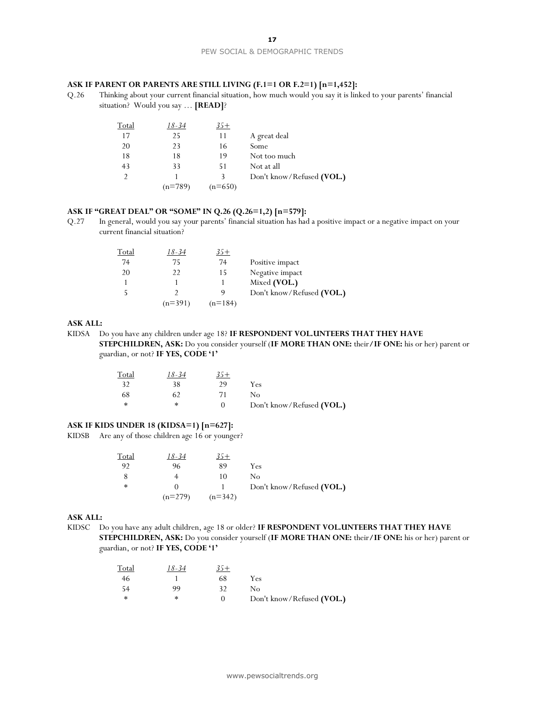#### **ASK IF PARENT OR PARENTS ARE STILL LIVING (F.1=1 OR F.2=1) [n=1,452]:**

Q.26 Thinking about your current financial situation, how much would you say it is linked to your parents' financial situation? Would you say … **[READ]**?

| Total         | 18-34     | 35+       |                           |
|---------------|-----------|-----------|---------------------------|
| 17            | 25        | 11        | A great deal              |
| 20            | 23        | 16        | Some                      |
| 18            | 18        | 19        | Not too much              |
| 43            | 33        | 51        | Not at all                |
| $\mathcal{D}$ |           | 3         | Don't know/Refused (VOL.) |
|               | $(n=789)$ | $(n=650)$ |                           |
|               |           |           |                           |

#### **ASK IF "GREAT DEAL" OR "SOME" IN Q.26 (Q.26=1,2) [n=579]:**

Q.27 In general, would you say your parents' financial situation has had a positive impact or a negative impact on your current financial situation?

| <u>Total</u> | 18-34     | 35+       |                           |
|--------------|-----------|-----------|---------------------------|
| 74           | 75        | 74        | Positive impact           |
| 20           | 22        | 15        | Negative impact           |
|              |           |           | Mixed (VOL.)              |
|              |           | q         | Don't know/Refused (VOL.) |
|              | $(n=391)$ | $(n=184)$ |                           |

### **ASK ALL:**

KIDSA Do you have any children under age 18? **IF RESPONDENT VOL.UNTEERS THAT THEY HAVE STEPCHILDREN, ASK:** Do you consider yourself (**IF MORE THAN ONE:** their**/IF ONE:** his or her) parent or guardian, or not? **IF YES, CODE '1'**

| Total | 18-34  | $35+$ |                           |
|-------|--------|-------|---------------------------|
| -32   | 38     | 29    | Yes                       |
| 68    | 62     | 71    | Nο                        |
| *     | $\ast$ |       | Don't know/Refused (VOL.) |

### **ASK IF KIDS UNDER 18 (KIDSA=1) [n=627]:**

KIDSB Are any of those children age 16 or younger?

| <u>Total</u> | 18-34     | $35+$     |                           |
|--------------|-----------|-----------|---------------------------|
| 92           | 96        | 89        | Yes                       |
|              |           | 10        | Nο                        |
| $\ast$       |           |           | Don't know/Refused (VOL.) |
|              | $(n=279)$ | $(n=342)$ |                           |

#### **ASK ALL:**

KIDSC Do you have any adult children, age 18 or older? **IF RESPONDENT VOL.UNTEERS THAT THEY HAVE STEPCHILDREN, ASK:** Do you consider yourself (**IF MORE THAN ONE:** their**/IF ONE:** his or her) parent or guardian, or not? **IF YES, CODE '1'**

| <u>Total</u> | 18-34  | $35+$ |                           |
|--------------|--------|-------|---------------------------|
| 46           |        | 68    | Yes                       |
| -54          | 99     |       | Nο                        |
| ∗            | $\ast$ |       | Don't know/Refused (VOL.) |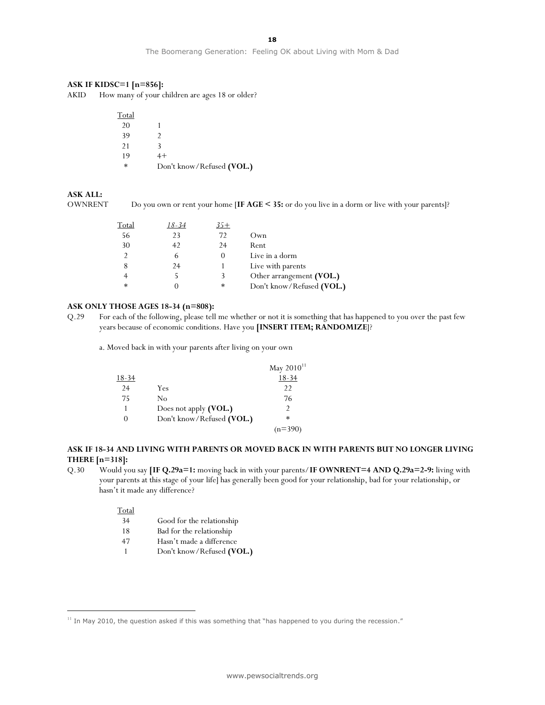The Boomerang Generation: Feeling OK about Living with Mom & Dad

#### **ASK IF KIDSC=1 [n=856]:**

AKID How many of your children are ages 18 or older?

| Total  |                           |
|--------|---------------------------|
| 20     |                           |
| 39     | 2                         |
| 21     | 3                         |
| 19     | $4+$                      |
| $\ast$ | Don't know/Refused (VOL.) |

#### **ASK ALL:**

OWNRENT Do you own or rent your home [**IF AGE < 35:** or do you live in a dorm or live with your parents]?

| Total | 18-34 | 35+ |                           |
|-------|-------|-----|---------------------------|
| 56    | 23    | 72  | Own                       |
| 30    | 42    | 24  | Rent                      |
| C     |       |     | Live in a dorm            |
| 8     | 24    |     | Live with parents         |
|       |       | 3   | Other arrangement (VOL.)  |
| *     |       | *   | Don't know/Refused (VOL.) |

#### **ASK ONLY THOSE AGES 18-34 (n=808):**

Q.29 For each of the following, please tell me whether or not it is something that has happened to you over the past few years because of economic conditions. Have you **[INSERT ITEM; RANDOMIZE**]?

a. Moved back in with your parents after living on your own

|              |                           | May $2010^{11}$ |
|--------------|---------------------------|-----------------|
| 18-34        |                           | 18-34           |
| 24           | Yes                       | 22              |
| 75           | No                        | 76              |
|              | Does not apply (VOL.)     | $\mathcal{P}$   |
| $\mathbf{0}$ | Don't know/Refused (VOL.) | $\ast$          |
|              |                           | (n=390`         |

#### **ASK IF 18-34 AND LIVING WITH PARENTS OR MOVED BACK IN WITH PARENTS BUT NO LONGER LIVING THERE [n=318]:**

Q.30 Would you say **[IF Q.29a=1:** moving back in with your parents/**IF OWNRENT=4 AND Q.29a=2-9:** living with your parents at this stage of your life] has generally been good for your relationship, bad for your relationship, or hasn't it made any difference?

### Total

 $\overline{a}$ 

- 34 Good for the relationship
- 18 Bad for the relationship
- 47 Hasn't made a difference
- 1 Don't know/Refused **(VOL.)**

 $11$  In May 2010, the question asked if this was something that "has happened to you during the recession."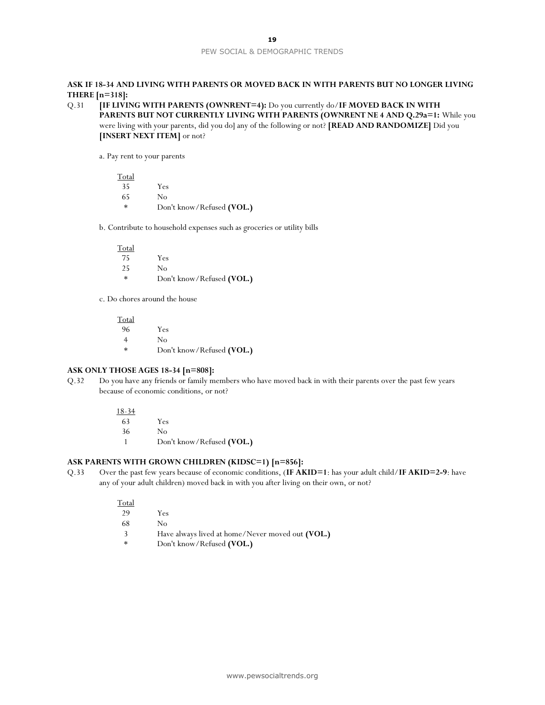#### **ASK IF 18-34 AND LIVING WITH PARENTS OR MOVED BACK IN WITH PARENTS BUT NO LONGER LIVING THERE [n=318]:**

```
Q.31 [IF LIVING WITH PARENTS (OWNRENT=4): Do you currently do/IF MOVED BACK IN WITH 
PARENTS BUT NOT CURRENTLY LIVING WITH PARENTS (OWNRENT NE 4 AND Q.29a=1: While you 
were living with your parents, did you do] any of the following or not? [READ AND RANDOMIZE] Did you 
[INSERT NEXT ITEM] or not?
```
a. Pay rent to your parents

Total 35 Yes 65 No \* Don't know/Refused **(VOL.)**

b. Contribute to household expenses such as groceries or utility bills

| Total  |                           |
|--------|---------------------------|
| 75     | Yes                       |
| 25     | No                        |
| $\ast$ | Don't know/Refused (VOL.) |

c. Do chores around the house

Total 96 Yes 4 No \* Don't know/Refused **(VOL.)**

#### **ASK ONLY THOSE AGES 18-34 [n=808]:**

Q.32 Do you have any friends or family members who have moved back in with their parents over the past few years because of economic conditions, or not?

> 18-34 63 Yes 36 No 1 Don't know/Refused **(VOL.)**

#### **ASK PARENTS WITH GROWN CHILDREN (KIDSC=1) [n=856]:**

Q.33 Over the past few years because of economic conditions, (**IF AKID=1**: has your adult child/**IF AKID=2-9**: have any of your adult children) moved back in with you after living on their own, or not?

| Total  |                                                  |
|--------|--------------------------------------------------|
| 29     | Yes                                              |
| 68     | Nο                                               |
| 3      | Have always lived at home/Never moved out (VOL.) |
| $\ast$ | Don't know/Refused (VOL.)                        |